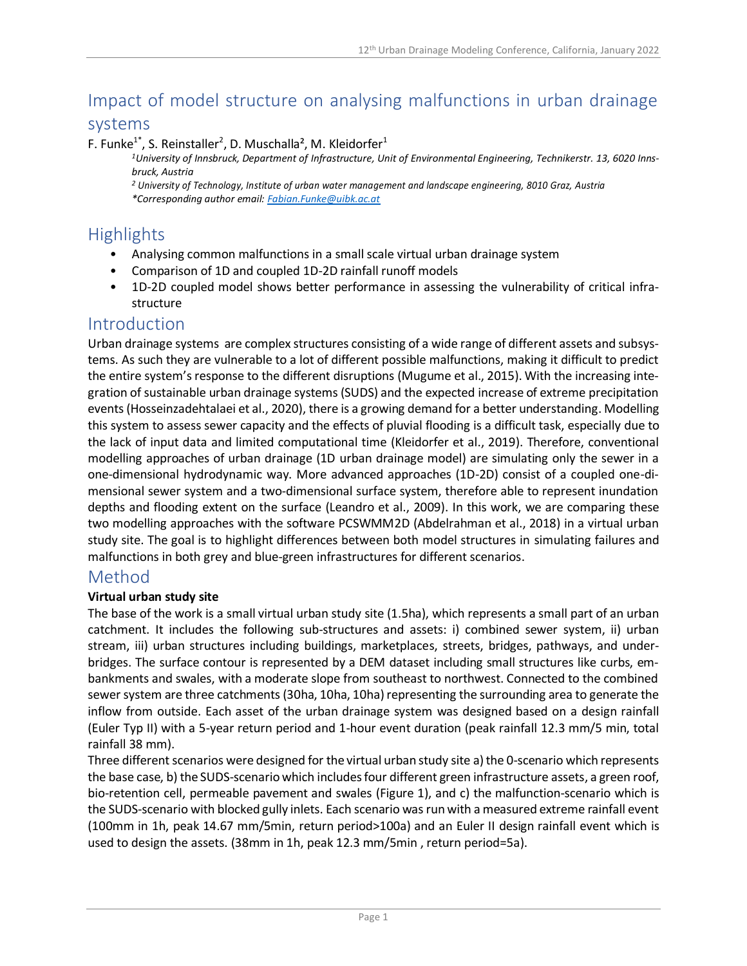# Impact of model structure on analysing malfunctions in urban drainage

## systems

#### F. Funke<sup>1\*</sup>, S. Reinstaller<sup>2</sup>, D. Muschalla<sup>2</sup>, M. Kleidorfer<sup>1</sup>

*1University of Innsbruck, Department of Infrastructure, Unit of Environmental Engineering, Technikerstr. 13, 6020 Innsbruck, Austria*

*<sup>2</sup> University of Technology, Institute of urban water management and landscape engineering, 8010 Graz, Austria \*Corresponding author email: [Fabian.Funke@uibk.ac.at](mailto:Fabian.Funke@uibk.ac.at)*

## Highlights

- Analysing common malfunctions in a small scale virtual urban drainage system
- Comparison of 1D and coupled 1D-2D rainfall runoff models
- 1D-2D coupled model shows better performance in assessing the vulnerability of critical infrastructure

## Introduction

Urban drainage systems are complex structures consisting of a wide range of different assets and subsystems. As such they are vulnerable to a lot of different possible malfunctions, making it difficult to predict the entire system's response to the different disruptions (Mugume et al., 2015). With the increasing integration of sustainable urban drainage systems (SUDS) and the expected increase of extreme precipitation events(Hosseinzadehtalaei et al., 2020), there is a growing demand for a better understanding. Modelling this system to assess sewer capacity and the effects of pluvial flooding is a difficult task, especially due to the lack of input data and limited computational time (Kleidorfer et al., 2019). Therefore, conventional modelling approaches of urban drainage (1D urban drainage model) are simulating only the sewer in a one-dimensional hydrodynamic way. More advanced approaches (1D-2D) consist of a coupled one-dimensional sewer system and a two-dimensional surface system, therefore able to represent inundation depths and flooding extent on the surface (Leandro et al., 2009). In this work, we are comparing these two modelling approaches with the software PCSWMM2D (Abdelrahman et al., 2018) in a virtual urban study site. The goal is to highlight differences between both model structures in simulating failures and malfunctions in both grey and blue-green infrastructures for different scenarios.

## Method

#### **Virtual urban study site**

The base of the work is a small virtual urban study site (1.5ha), which represents a small part of an urban catchment. It includes the following sub-structures and assets: i) combined sewer system, ii) urban stream, iii) urban structures including buildings, marketplaces, streets, bridges, pathways, and underbridges. The surface contour is represented by a DEM dataset including small structures like curbs, embankments and swales, with a moderate slope from southeast to northwest. Connected to the combined sewer system are three catchments (30ha, 10ha, 10ha) representing the surrounding area to generate the inflow from outside. Each asset of the urban drainage system was designed based on a design rainfall (Euler Typ II) with a 5-year return period and 1-hour event duration (peak rainfall 12.3 mm/5 min, total rainfall 38 mm).

Three different scenarios were designed for the virtual urban study site a) the 0-scenario which represents the base case, b) the SUDS-scenario which includes four different green infrastructure assets, a green roof, bio-retention cell, permeable pavement and swales (Figure 1), and c) the malfunction-scenario which is the SUDS-scenario with blocked gully inlets. Each scenario was run with a measured extreme rainfall event (100mm in 1h, peak 14.67 mm/5min, return period>100a) and an Euler II design rainfall event which is used to design the assets. (38mm in 1h, peak 12.3 mm/5min , return period=5a).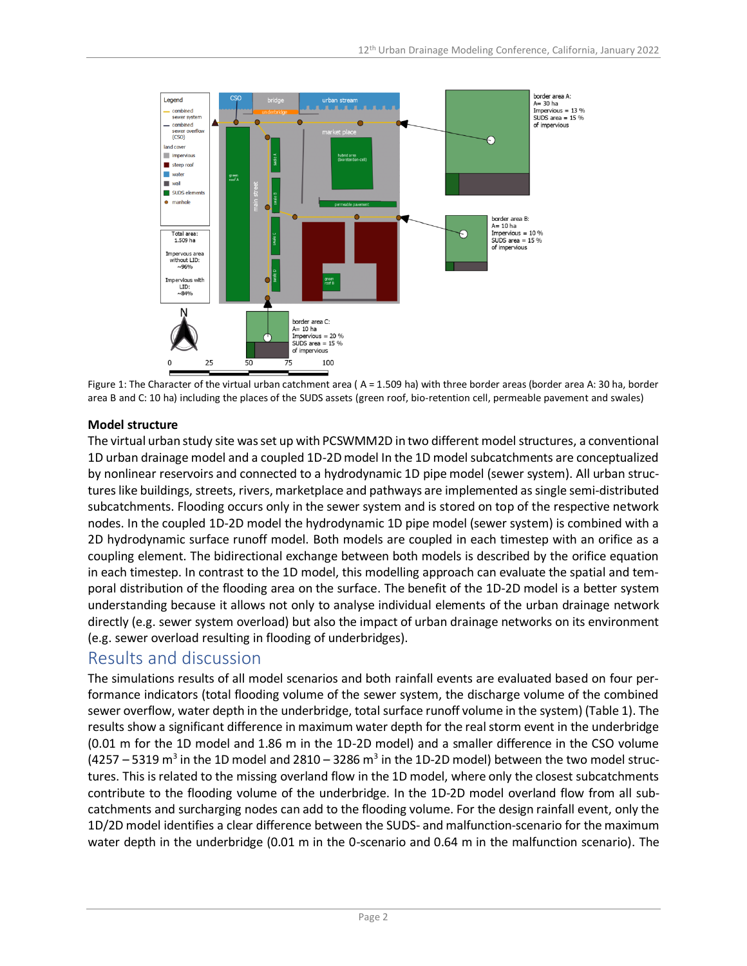

Figure 1: The Character of the virtual urban catchment area ( A = 1.509 ha) with three border areas (border area A: 30 ha, border area B and C: 10 ha) including the places of the SUDS assets (green roof, bio-retention cell, permeable pavement and swales)

#### **Model structure**

The virtual urban study site was set up with PCSWMM2D in two different model structures, a conventional 1D urban drainage model and a coupled 1D-2D model In the 1D model subcatchments are conceptualized by nonlinear reservoirs and connected to a hydrodynamic 1D pipe model (sewer system). All urban structures like buildings, streets, rivers, marketplace and pathways are implemented assingle semi-distributed subcatchments. Flooding occurs only in the sewer system and is stored on top of the respective network nodes. In the coupled 1D-2D model the hydrodynamic 1D pipe model (sewer system) is combined with a 2D hydrodynamic surface runoff model. Both models are coupled in each timestep with an orifice as a coupling element. The bidirectional exchange between both models is described by the orifice equation in each timestep. In contrast to the 1D model, this modelling approach can evaluate the spatial and temporal distribution of the flooding area on the surface. The benefit of the 1D-2D model is a better system understanding because it allows not only to analyse individual elements of the urban drainage network directly (e.g. sewer system overload) but also the impact of urban drainage networks on its environment (e.g. sewer overload resulting in flooding of underbridges).

## Results and discussion

The simulations results of all model scenarios and both rainfall events are evaluated based on four performance indicators (total flooding volume of the sewer system, the discharge volume of the combined sewer overflow, water depth in the underbridge, total surface runoff volume in the system) (Table 1). The results show a significant difference in maximum water depth for the real storm event in the underbridge (0.01 m for the 1D model and 1.86 m in the 1D-2D model) and a smaller difference in the CSO volume (4257 – 5319 m<sup>3</sup> in the 1D model and 2810 – 3286 m<sup>3</sup> in the 1D-2D model) between the two model structures. This is related to the missing overland flow in the 1D model, where only the closest subcatchments contribute to the flooding volume of the underbridge. In the 1D-2D model overland flow from all subcatchments and surcharging nodes can add to the flooding volume. For the design rainfall event, only the 1D/2D model identifies a clear difference between the SUDS- and malfunction-scenario for the maximum water depth in the underbridge (0.01 m in the 0-scenario and 0.64 m in the malfunction scenario). The